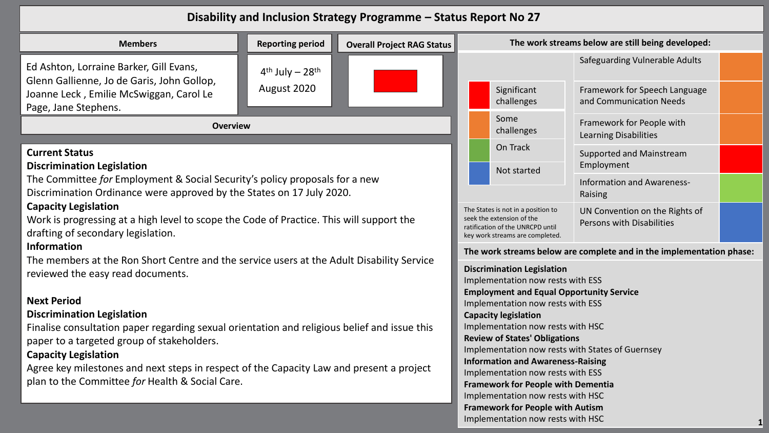## **Disability and Inclusion Strategy Programme – Status Report No 27**

| <b>Reporting period</b><br><b>Members</b><br><b>Overall Project RAG Status</b>                                                                                                                                                                                                                                                                                                                                                                                                                                                              |                                                        |                                                                                                                                        |                                                                                                                                                                                                                                                                                                                                                                                                                                                              |                                   | The work streams below are still being developed:               |  |
|---------------------------------------------------------------------------------------------------------------------------------------------------------------------------------------------------------------------------------------------------------------------------------------------------------------------------------------------------------------------------------------------------------------------------------------------------------------------------------------------------------------------------------------------|--------------------------------------------------------|----------------------------------------------------------------------------------------------------------------------------------------|--------------------------------------------------------------------------------------------------------------------------------------------------------------------------------------------------------------------------------------------------------------------------------------------------------------------------------------------------------------------------------------------------------------------------------------------------------------|-----------------------------------|-----------------------------------------------------------------|--|
| Ed Ashton, Lorraine Barker, Gill Evans,<br>Glenn Gallienne, Jo de Garis, John Gollop,<br>Joanne Leck, Emilie McSwiggan, Carol Le                                                                                                                                                                                                                                                                                                                                                                                                            | $4^{\text{th}}$ July - 28 <sup>th</sup><br>August 2020 |                                                                                                                                        |                                                                                                                                                                                                                                                                                                                                                                                                                                                              | Significant                       | Safeguarding Vulnerable Adults<br>Framework for Speech Language |  |
| Page, Jane Stephens.                                                                                                                                                                                                                                                                                                                                                                                                                                                                                                                        |                                                        |                                                                                                                                        |                                                                                                                                                                                                                                                                                                                                                                                                                                                              | challenges                        | and Communication Needs                                         |  |
| <b>Overview</b>                                                                                                                                                                                                                                                                                                                                                                                                                                                                                                                             |                                                        |                                                                                                                                        |                                                                                                                                                                                                                                                                                                                                                                                                                                                              | Some<br>challenges                | Framework for People with<br><b>Learning Disabilities</b>       |  |
| <b>Current Status</b><br><b>Discrimination Legislation</b>                                                                                                                                                                                                                                                                                                                                                                                                                                                                                  |                                                        |                                                                                                                                        |                                                                                                                                                                                                                                                                                                                                                                                                                                                              | On Track<br>Not started           | Supported and Mainstream<br>Employment                          |  |
| The Committee for Employment & Social Security's policy proposals for a new<br>Discrimination Ordinance were approved by the States on 17 July 2020.                                                                                                                                                                                                                                                                                                                                                                                        |                                                        |                                                                                                                                        |                                                                                                                                                                                                                                                                                                                                                                                                                                                              |                                   | Information and Awareness-<br>Raising                           |  |
| <b>Capacity Legislation</b><br>Work is progressing at a high level to scope the Code of Practice. This will support the<br>drafting of secondary legislation.                                                                                                                                                                                                                                                                                                                                                                               |                                                        | The States is not in a position to<br>seek the extension of the<br>ratification of the UNRCPD until<br>key work streams are completed. | UN Convention on the Rights of<br>Persons with Disabilities                                                                                                                                                                                                                                                                                                                                                                                                  |                                   |                                                                 |  |
| <b>Information</b><br>The members at the Ron Short Centre and the service users at the Adult Disability Service<br>reviewed the easy read documents.<br><b>Next Period</b><br><b>Discrimination Legislation</b><br>Finalise consultation paper regarding sexual orientation and religious belief and issue this<br>paper to a targeted group of stakeholders.<br><b>Capacity Legislation</b><br>Agree key milestones and next steps in respect of the Capacity Law and present a project<br>plan to the Committee for Health & Social Care. |                                                        |                                                                                                                                        | The work streams below are complete and in the implementation phase:                                                                                                                                                                                                                                                                                                                                                                                         |                                   |                                                                 |  |
|                                                                                                                                                                                                                                                                                                                                                                                                                                                                                                                                             |                                                        |                                                                                                                                        | <b>Discrimination Legislation</b><br>Implementation now rests with ESS<br><b>Employment and Equal Opportunity Service</b><br>Implementation now rests with ESS<br><b>Capacity legislation</b><br>Implementation now rests with HSC<br><b>Review of States' Obligations</b><br>Implementation now rests with States of Guernsey<br><b>Information and Awareness-Raising</b><br>Implementation now rests with ESS<br><b>Framework for People with Dementia</b> |                                   |                                                                 |  |
|                                                                                                                                                                                                                                                                                                                                                                                                                                                                                                                                             |                                                        |                                                                                                                                        | Implementation now rests with HSC<br><b>Framework for People with Autism</b>                                                                                                                                                                                                                                                                                                                                                                                 |                                   |                                                                 |  |
|                                                                                                                                                                                                                                                                                                                                                                                                                                                                                                                                             |                                                        |                                                                                                                                        |                                                                                                                                                                                                                                                                                                                                                                                                                                                              | Implementation now rests with HSC |                                                                 |  |

**1**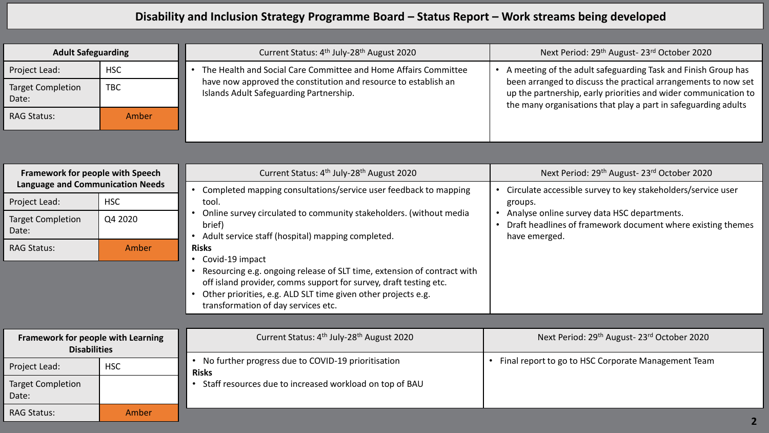## **Disability and Inclusion Strategy Programme Board – Status Report – Work streams being developed**

| <b>Adult Safeguarding</b>         |            | Current Status: 4 <sup>th</sup> July-28 <sup>th</sup> August 2020                                          | Next Period: 29 <sup>th</sup> August- 23 <sup>rd</sup> October 2020                                                                                                                                 |
|-----------------------------------|------------|------------------------------------------------------------------------------------------------------------|-----------------------------------------------------------------------------------------------------------------------------------------------------------------------------------------------------|
| Project Lead:                     | <b>HSC</b> | The Health and Social Care Committee and Home Affairs Committee                                            | A meeting of the adult safeguarding Task and Finish Group has                                                                                                                                       |
| <b>Target Completion</b><br>Date: | <b>TBC</b> | have now approved the constitution and resource to establish an<br>Islands Adult Safeguarding Partnership. | been arranged to discuss the practical arrangements to now set<br>up the partnership, early priorities and wider communication to<br>the many organisations that play a part in safeguarding adults |
| <b>RAG Status:</b>                | Amber      |                                                                                                            |                                                                                                                                                                                                     |
|                                   |            |                                                                                                            |                                                                                                                                                                                                     |

| Framework for people with Speech<br><b>Language and Communication Needs</b> |            | Current Status: 4 <sup>th</sup> July-28 <sup>th</sup> August 2020                                                                                                                                                                                                                         | Next Period: 29th August-23rd October 2020                                                                                             |
|-----------------------------------------------------------------------------|------------|-------------------------------------------------------------------------------------------------------------------------------------------------------------------------------------------------------------------------------------------------------------------------------------------|----------------------------------------------------------------------------------------------------------------------------------------|
|                                                                             |            | Completed mapping consultations/service user feedback to mapping                                                                                                                                                                                                                          | Circulate accessible survey to key stakeholders/service user                                                                           |
| Project Lead:                                                               | <b>HSC</b> | tool.                                                                                                                                                                                                                                                                                     | groups.<br>Analyse online survey data HSC departments.<br>Draft headlines of framework document where existing themes<br>have emerged. |
| <b>Target Completion</b><br>Date:                                           | Q4 2020    | Online survey circulated to community stakeholders. (without media<br>brief)<br>Adult service staff (hospital) mapping completed.                                                                                                                                                         |                                                                                                                                        |
| <b>RAG Status:</b>                                                          | Amber      | <b>Risks</b><br>• Covid-19 impact<br>Resourcing e.g. ongoing release of SLT time, extension of contract with<br>off island provider, comms support for survey, draft testing etc.<br>Other priorities, e.g. ALD SLT time given other projects e.g.<br>transformation of day services etc. |                                                                                                                                        |
|                                                                             |            |                                                                                                                                                                                                                                                                                           |                                                                                                                                        |
| Framework for people with Learning<br><b>Disabilities</b>                   |            | Current Status: 4 <sup>th</sup> July-28 <sup>th</sup> August 2020                                                                                                                                                                                                                         | Next Period: 29 <sup>th</sup> August-23 <sup>rd</sup> October 2020                                                                     |
| Project Lead:                                                               | <b>HSC</b> | No further progress due to COVID-19 prioritisation<br><b>Risks</b>                                                                                                                                                                                                                        | Final report to go to HSC Corporate Management Team                                                                                    |
| <b>Target Completion</b><br>Date:                                           |            | • Staff resources due to increased workload on top of BAU                                                                                                                                                                                                                                 |                                                                                                                                        |
| <b>RAG Status:</b>                                                          | Amber      |                                                                                                                                                                                                                                                                                           |                                                                                                                                        |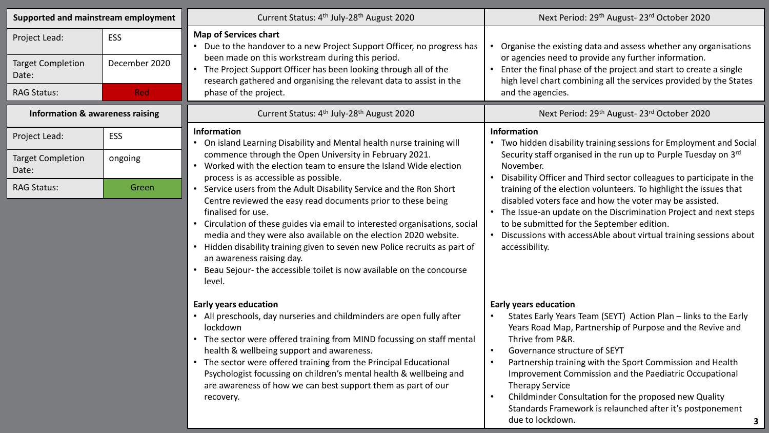| Supported and mainstream employment        |               | Current Status: 4 <sup>th</sup> July-28 <sup>th</sup> August 2020                                                                                                                                                                                                                                                                                                                                                                                                                                       | Next Period: 29 <sup>th</sup> August- 23 <sup>rd</sup> October 2020                                                                                                                                                                                                                                                                                                                                                                                                                                                                                     |  |
|--------------------------------------------|---------------|---------------------------------------------------------------------------------------------------------------------------------------------------------------------------------------------------------------------------------------------------------------------------------------------------------------------------------------------------------------------------------------------------------------------------------------------------------------------------------------------------------|---------------------------------------------------------------------------------------------------------------------------------------------------------------------------------------------------------------------------------------------------------------------------------------------------------------------------------------------------------------------------------------------------------------------------------------------------------------------------------------------------------------------------------------------------------|--|
| Project Lead:                              | ESS           | <b>Map of Services chart</b><br>Due to the handover to a new Project Support Officer, no progress has                                                                                                                                                                                                                                                                                                                                                                                                   | Organise the existing data and assess whether any organisations<br>or agencies need to provide any further information.<br>Enter the final phase of the project and start to create a single<br>high level chart combining all the services provided by the States                                                                                                                                                                                                                                                                                      |  |
| <b>Target Completion</b><br>Date:          | December 2020 | been made on this workstream during this period.<br>• The Project Support Officer has been looking through all of the<br>research gathered and organising the relevant data to assist in the                                                                                                                                                                                                                                                                                                            |                                                                                                                                                                                                                                                                                                                                                                                                                                                                                                                                                         |  |
| <b>RAG Status:</b>                         | <b>Red</b>    | phase of the project.                                                                                                                                                                                                                                                                                                                                                                                                                                                                                   | and the agencies.                                                                                                                                                                                                                                                                                                                                                                                                                                                                                                                                       |  |
| <b>Information &amp; awareness raising</b> |               | Current Status: 4 <sup>th</sup> July-28 <sup>th</sup> August 2020                                                                                                                                                                                                                                                                                                                                                                                                                                       | Next Period: 29 <sup>th</sup> August- 23 <sup>rd</sup> October 2020                                                                                                                                                                                                                                                                                                                                                                                                                                                                                     |  |
| Project Lead:                              | <b>ESS</b>    | Information<br>On island Learning Disability and Mental health nurse training will                                                                                                                                                                                                                                                                                                                                                                                                                      | <b>Information</b><br>• Two hidden disability training sessions for Employment and Social<br>Security staff organised in the run up to Purple Tuesday on 3rd<br>November.<br>• Disability Officer and Third sector colleagues to participate in the                                                                                                                                                                                                                                                                                                     |  |
| <b>Target Completion</b><br>Date:          | ongoing       | commence through the Open University in February 2021.<br>• Worked with the election team to ensure the Island Wide election<br>process is as accessible as possible.                                                                                                                                                                                                                                                                                                                                   |                                                                                                                                                                                                                                                                                                                                                                                                                                                                                                                                                         |  |
| <b>RAG Status:</b>                         | Green         | • Service users from the Adult Disability Service and the Ron Short<br>Centre reviewed the easy read documents prior to these being<br>finalised for use.<br>• Circulation of these guides via email to interested organisations, social<br>media and they were also available on the election 2020 website.<br>Hidden disability training given to seven new Police recruits as part of<br>an awareness raising day.<br>Beau Sejour- the accessible toilet is now available on the concourse<br>level. | training of the election volunteers. To highlight the issues that<br>disabled voters face and how the voter may be assisted.<br>• The Issue-an update on the Discrimination Project and next steps<br>to be submitted for the September edition.<br>• Discussions with accessAble about virtual training sessions about<br>accessibility.                                                                                                                                                                                                               |  |
|                                            |               | <b>Early years education</b><br>• All preschools, day nurseries and childminders are open fully after<br>lockdown<br>• The sector were offered training from MIND focussing on staff mental<br>health & wellbeing support and awareness.<br>• The sector were offered training from the Principal Educational<br>Psychologist focussing on children's mental health & wellbeing and<br>are awareness of how we can best support them as part of our<br>recovery.                                        | <b>Early years education</b><br>States Early Years Team (SEYT) Action Plan - links to the Early<br>Years Road Map, Partnership of Purpose and the Revive and<br>Thrive from P&R.<br>Governance structure of SEYT<br>$\bullet$<br>Partnership training with the Sport Commission and Health<br>$\bullet$<br>Improvement Commission and the Paediatric Occupational<br><b>Therapy Service</b><br>Childminder Consultation for the proposed new Quality<br>$\bullet$<br>Standards Framework is relaunched after it's postponement<br>due to lockdown.<br>3 |  |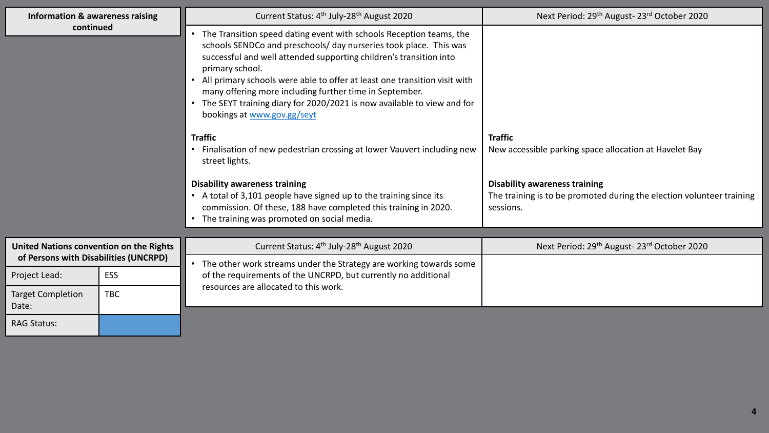| Information & awareness raising                                                  |            | Current Status: 4 <sup>th</sup> July-28 <sup>th</sup> August 2020                                                                                                                                                                                                                                                                                                                                                                                                                    | Next Period: 29 <sup>th</sup> August-23 <sup>rd</sup> October 2020                                                         |
|----------------------------------------------------------------------------------|------------|--------------------------------------------------------------------------------------------------------------------------------------------------------------------------------------------------------------------------------------------------------------------------------------------------------------------------------------------------------------------------------------------------------------------------------------------------------------------------------------|----------------------------------------------------------------------------------------------------------------------------|
| continued                                                                        |            | The Transition speed dating event with schools Reception teams, the<br>schools SENDCo and preschools/ day nurseries took place. This was<br>successful and well attended supporting children's transition into<br>primary school.<br>All primary schools were able to offer at least one transition visit with<br>many offering more including further time in September.<br>• The SEYT training diary for 2020/2021 is now available to view and for<br>bookings at www.gov.gg/seyt |                                                                                                                            |
|                                                                                  |            | <b>Traffic</b><br>• Finalisation of new pedestrian crossing at lower Vauvert including new<br>street lights.                                                                                                                                                                                                                                                                                                                                                                         | <b>Traffic</b><br>New accessible parking space allocation at Havelet Bay                                                   |
|                                                                                  |            | <b>Disability awareness training</b><br>• A total of 3,101 people have signed up to the training since its<br>commission. Of these, 188 have completed this training in 2020.<br>The training was promoted on social media.                                                                                                                                                                                                                                                          | <b>Disability awareness training</b><br>The training is to be promoted during the election volunteer training<br>sessions. |
|                                                                                  |            |                                                                                                                                                                                                                                                                                                                                                                                                                                                                                      |                                                                                                                            |
| United Nations convention on the Rights<br>of Persons with Disabilities (UNCRPD) |            | Current Status: 4 <sup>th</sup> July-28 <sup>th</sup> August 2020                                                                                                                                                                                                                                                                                                                                                                                                                    | Next Period: 29 <sup>th</sup> August- 23 <sup>rd</sup> October 2020                                                        |
|                                                                                  |            | The other work streams under the Strategy are working towards some                                                                                                                                                                                                                                                                                                                                                                                                                   |                                                                                                                            |
| Project Lead:                                                                    | ESS        | of the requirements of the UNCRPD, but currently no additional<br>resources are allocated to this work.                                                                                                                                                                                                                                                                                                                                                                              |                                                                                                                            |
| <b>Target Completion</b><br>Date:                                                | <b>TBC</b> |                                                                                                                                                                                                                                                                                                                                                                                                                                                                                      |                                                                                                                            |
| <b>RAG Status:</b>                                                               |            |                                                                                                                                                                                                                                                                                                                                                                                                                                                                                      |                                                                                                                            |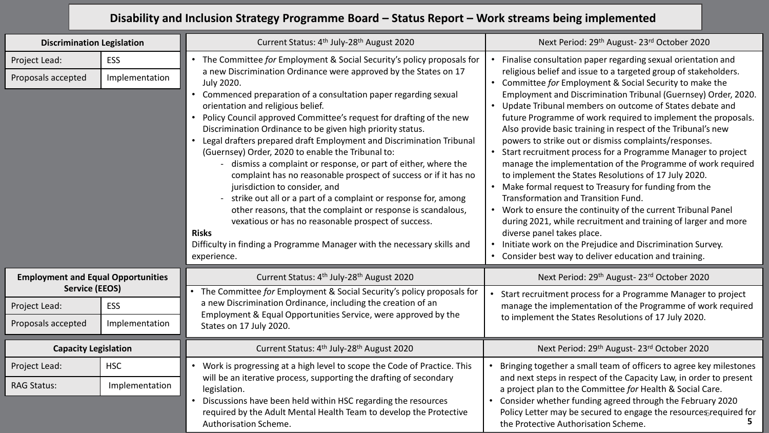## **Disability and Inclusion Strategy Programme Board – Status Report – Work streams being implemented**

| <b>Discrimination Legislation</b>                            |                              | Current Status: 4 <sup>th</sup> July-28 <sup>th</sup> August 2020                                                                                                                                                                                                                                                                                                                                                                                                                                                                                                                                                                                                                                                                                                                                                                                                                                                                                                  | Next Period: 29 <sup>th</sup> August-23 <sup>rd</sup> October 2020                                                                                                                                                                                                                                                                                                                                                                                                                                                                                                                                                                                                                                                                                                                                                                                                                                                                                                                                                                                                                                              |
|--------------------------------------------------------------|------------------------------|--------------------------------------------------------------------------------------------------------------------------------------------------------------------------------------------------------------------------------------------------------------------------------------------------------------------------------------------------------------------------------------------------------------------------------------------------------------------------------------------------------------------------------------------------------------------------------------------------------------------------------------------------------------------------------------------------------------------------------------------------------------------------------------------------------------------------------------------------------------------------------------------------------------------------------------------------------------------|-----------------------------------------------------------------------------------------------------------------------------------------------------------------------------------------------------------------------------------------------------------------------------------------------------------------------------------------------------------------------------------------------------------------------------------------------------------------------------------------------------------------------------------------------------------------------------------------------------------------------------------------------------------------------------------------------------------------------------------------------------------------------------------------------------------------------------------------------------------------------------------------------------------------------------------------------------------------------------------------------------------------------------------------------------------------------------------------------------------------|
| Project Lead:                                                | <b>ESS</b>                   | The Committee for Employment & Social Security's policy proposals for                                                                                                                                                                                                                                                                                                                                                                                                                                                                                                                                                                                                                                                                                                                                                                                                                                                                                              | Finalise consultation paper regarding sexual orientation and<br>religious belief and issue to a targeted group of stakeholders.<br>• Committee for Employment & Social Security to make the<br>Employment and Discrimination Tribunal (Guernsey) Order, 2020.<br>• Update Tribunal members on outcome of States debate and<br>future Programme of work required to implement the proposals.<br>Also provide basic training in respect of the Tribunal's new<br>powers to strike out or dismiss complaints/responses.<br>Start recruitment process for a Programme Manager to project<br>$\bullet$<br>manage the implementation of the Programme of work required<br>to implement the States Resolutions of 17 July 2020.<br>• Make formal request to Treasury for funding from the<br>Transformation and Transition Fund.<br>• Work to ensure the continuity of the current Tribunal Panel<br>during 2021, while recruitment and training of larger and more<br>diverse panel takes place.<br>Initiate work on the Prejudice and Discrimination Survey.<br>Consider best way to deliver education and training. |
| Proposals accepted                                           | Implementation               | a new Discrimination Ordinance were approved by the States on 17<br><b>July 2020.</b><br>Commenced preparation of a consultation paper regarding sexual<br>$\bullet$<br>orientation and religious belief.<br>Policy Council approved Committee's request for drafting of the new<br>Discrimination Ordinance to be given high priority status.<br>Legal drafters prepared draft Employment and Discrimination Tribunal<br>$\bullet$<br>(Guernsey) Order, 2020 to enable the Tribunal to:<br>- dismiss a complaint or response, or part of either, where the<br>complaint has no reasonable prospect of success or if it has no<br>jurisdiction to consider, and<br>strike out all or a part of a complaint or response for, among<br>other reasons, that the complaint or response is scandalous,<br>vexatious or has no reasonable prospect of success.<br><b>Risks</b><br>Difficulty in finding a Programme Manager with the necessary skills and<br>experience. |                                                                                                                                                                                                                                                                                                                                                                                                                                                                                                                                                                                                                                                                                                                                                                                                                                                                                                                                                                                                                                                                                                                 |
| <b>Employment and Equal Opportunities</b>                    |                              | Current Status: 4 <sup>th</sup> July-28 <sup>th</sup> August 2020                                                                                                                                                                                                                                                                                                                                                                                                                                                                                                                                                                                                                                                                                                                                                                                                                                                                                                  | Next Period: 29 <sup>th</sup> August-23 <sup>rd</sup> October 2020                                                                                                                                                                                                                                                                                                                                                                                                                                                                                                                                                                                                                                                                                                                                                                                                                                                                                                                                                                                                                                              |
| <b>Service (EEOS)</b><br>Project Lead:<br>Proposals accepted | <b>ESS</b><br>Implementation | The Committee for Employment & Social Security's policy proposals for<br>a new Discrimination Ordinance, including the creation of an<br>Employment & Equal Opportunities Service, were approved by the<br>States on 17 July 2020.                                                                                                                                                                                                                                                                                                                                                                                                                                                                                                                                                                                                                                                                                                                                 | Start recruitment process for a Programme Manager to project<br>manage the implementation of the Programme of work required<br>to implement the States Resolutions of 17 July 2020.                                                                                                                                                                                                                                                                                                                                                                                                                                                                                                                                                                                                                                                                                                                                                                                                                                                                                                                             |
| <b>Capacity Legislation</b>                                  |                              | Current Status: 4 <sup>th</sup> July-28 <sup>th</sup> August 2020                                                                                                                                                                                                                                                                                                                                                                                                                                                                                                                                                                                                                                                                                                                                                                                                                                                                                                  | Next Period: 29 <sup>th</sup> August- 23 <sup>rd</sup> October 2020                                                                                                                                                                                                                                                                                                                                                                                                                                                                                                                                                                                                                                                                                                                                                                                                                                                                                                                                                                                                                                             |
| Project Lead:                                                | <b>HSC</b>                   | Work is progressing at a high level to scope the Code of Practice. This                                                                                                                                                                                                                                                                                                                                                                                                                                                                                                                                                                                                                                                                                                                                                                                                                                                                                            | Bringing together a small team of officers to agree key milestones                                                                                                                                                                                                                                                                                                                                                                                                                                                                                                                                                                                                                                                                                                                                                                                                                                                                                                                                                                                                                                              |
| <b>RAG Status:</b>                                           | Implementation               | will be an iterative process, supporting the drafting of secondary<br>legislation.<br>Discussions have been held within HSC regarding the resources<br>$\bullet$<br>required by the Adult Mental Health Team to develop the Protective<br>Authorisation Scheme.                                                                                                                                                                                                                                                                                                                                                                                                                                                                                                                                                                                                                                                                                                    | and next steps in respect of the Capacity Law, in order to present<br>a project plan to the Committee for Health & Social Care.<br>Consider whether funding agreed through the February 2020<br>Policy Letter may be secured to engage the resource Srequired for<br>the Protective Authorisation Scheme.                                                                                                                                                                                                                                                                                                                                                                                                                                                                                                                                                                                                                                                                                                                                                                                                       |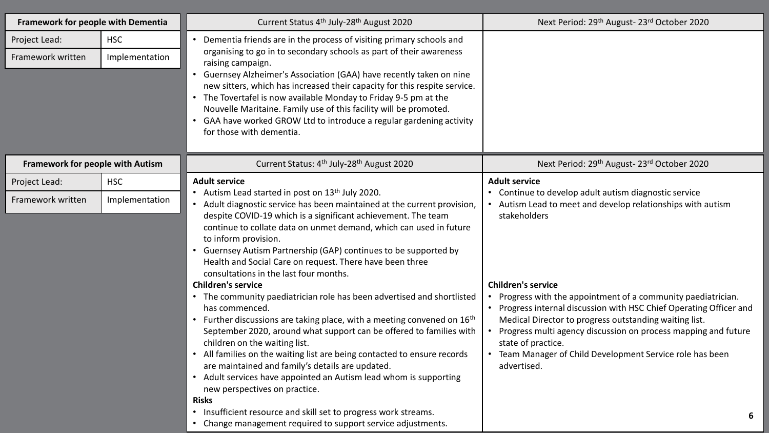| Framework for people with Dementia |                              | Current Status 4 <sup>th</sup> July-28 <sup>th</sup> August 2020                                                                                                                                                                                                                                                                                                                                                                                                                                                                                                                                                                                                                                                                                                                                                                                                                                                                                                                                                                                    | Next Period: 29 <sup>th</sup> August-23 <sup>rd</sup> October 2020                                                                                                                                                                                                                                                                                                                                                                                                                                                                  |
|------------------------------------|------------------------------|-----------------------------------------------------------------------------------------------------------------------------------------------------------------------------------------------------------------------------------------------------------------------------------------------------------------------------------------------------------------------------------------------------------------------------------------------------------------------------------------------------------------------------------------------------------------------------------------------------------------------------------------------------------------------------------------------------------------------------------------------------------------------------------------------------------------------------------------------------------------------------------------------------------------------------------------------------------------------------------------------------------------------------------------------------|-------------------------------------------------------------------------------------------------------------------------------------------------------------------------------------------------------------------------------------------------------------------------------------------------------------------------------------------------------------------------------------------------------------------------------------------------------------------------------------------------------------------------------------|
| Project Lead:<br>Framework written | <b>HSC</b><br>Implementation | • Dementia friends are in the process of visiting primary schools and<br>organising to go in to secondary schools as part of their awareness<br>raising campaign.<br>• Guernsey Alzheimer's Association (GAA) have recently taken on nine<br>new sitters, which has increased their capacity for this respite service.<br>• The Tovertafel is now available Monday to Friday 9-5 pm at the<br>Nouvelle Maritaine. Family use of this facility will be promoted.<br>• GAA have worked GROW Ltd to introduce a regular gardening activity<br>for those with dementia.                                                                                                                                                                                                                                                                                                                                                                                                                                                                                 |                                                                                                                                                                                                                                                                                                                                                                                                                                                                                                                                     |
| Framework for people with Autism   |                              | Current Status: 4 <sup>th</sup> July-28 <sup>th</sup> August 2020                                                                                                                                                                                                                                                                                                                                                                                                                                                                                                                                                                                                                                                                                                                                                                                                                                                                                                                                                                                   | Next Period: 29 <sup>th</sup> August-23 <sup>rd</sup> October 2020                                                                                                                                                                                                                                                                                                                                                                                                                                                                  |
| Project Lead:                      | <b>HSC</b>                   | <b>Adult service</b>                                                                                                                                                                                                                                                                                                                                                                                                                                                                                                                                                                                                                                                                                                                                                                                                                                                                                                                                                                                                                                | <b>Adult service</b>                                                                                                                                                                                                                                                                                                                                                                                                                                                                                                                |
| Framework written                  | Implementation               | • Autism Lead started in post on 13th July 2020.<br>• Adult diagnostic service has been maintained at the current provision,<br>despite COVID-19 which is a significant achievement. The team<br>continue to collate data on unmet demand, which can used in future<br>to inform provision.<br>• Guernsey Autism Partnership (GAP) continues to be supported by<br>Health and Social Care on request. There have been three<br>consultations in the last four months.<br><b>Children's service</b><br>• The community paediatrician role has been advertised and shortlisted<br>has commenced.<br>• Further discussions are taking place, with a meeting convened on 16 <sup>th</sup><br>September 2020, around what support can be offered to families with<br>children on the waiting list.<br>• All families on the waiting list are being contacted to ensure records<br>are maintained and family's details are updated.<br>• Adult services have appointed an Autism lead whom is supporting<br>new perspectives on practice.<br><b>Risks</b> | • Continue to develop adult autism diagnostic service<br>Autism Lead to meet and develop relationships with autism<br>stakeholders<br><b>Children's service</b><br>Progress with the appointment of a community paediatrician.<br>• Progress internal discussion with HSC Chief Operating Officer and<br>Medical Director to progress outstanding waiting list.<br>Progress multi agency discussion on process mapping and future<br>state of practice.<br>• Team Manager of Child Development Service role has been<br>advertised. |
|                                    |                              | • Insufficient resource and skill set to progress work streams.<br>• Change management required to support service adjustments.                                                                                                                                                                                                                                                                                                                                                                                                                                                                                                                                                                                                                                                                                                                                                                                                                                                                                                                     | 6                                                                                                                                                                                                                                                                                                                                                                                                                                                                                                                                   |